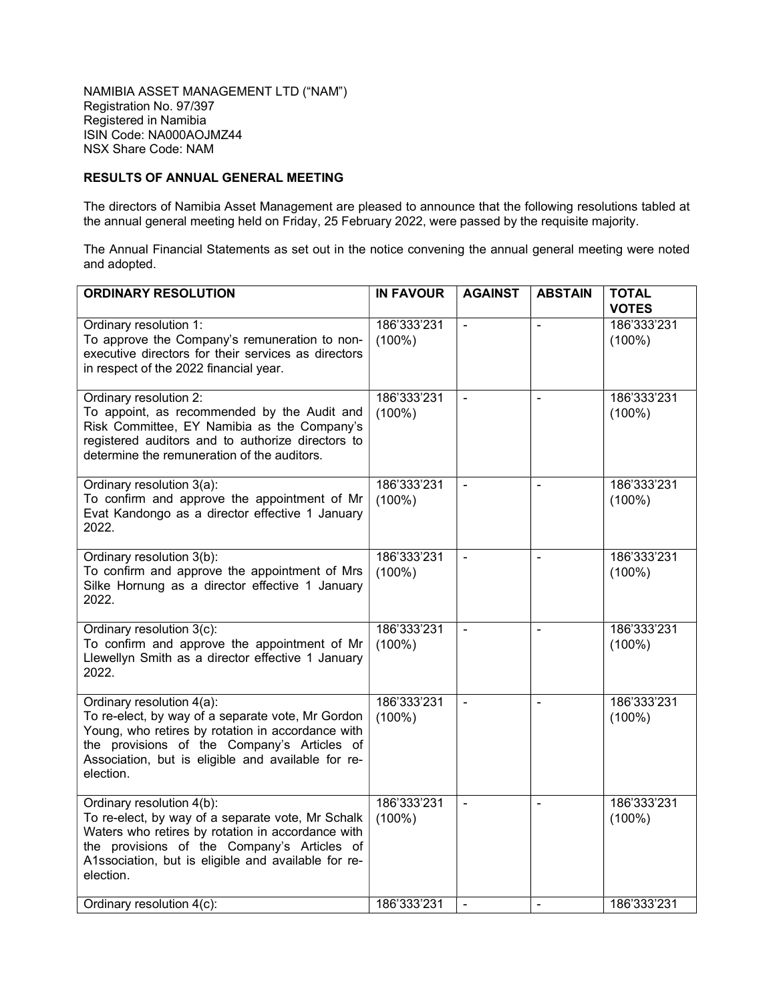## RESULTS OF ANNUAL GENERAL MEETING

The directors of Namibia Asset Management are pleased to announce that the following resolutions tabled at the annual general meeting held on Friday, 25 February 2022, were passed by the requisite majority.

The Annual Financial Statements as set out in the notice convening the annual general meeting were noted and adopted.

| <b>ORDINARY RESOLUTION</b>                                                                                                                                                                                                                             | <b>IN FAVOUR</b>         | <b>AGAINST</b> | <b>ABSTAIN</b> | <b>TOTAL</b><br><b>VOTES</b> |
|--------------------------------------------------------------------------------------------------------------------------------------------------------------------------------------------------------------------------------------------------------|--------------------------|----------------|----------------|------------------------------|
| Ordinary resolution 1:<br>To approve the Company's remuneration to non-<br>executive directors for their services as directors<br>in respect of the 2022 financial year.                                                                               | 186'333'231<br>$(100\%)$ |                |                | 186'333'231<br>$(100\%)$     |
| Ordinary resolution 2:<br>To appoint, as recommended by the Audit and<br>Risk Committee, EY Namibia as the Company's<br>registered auditors and to authorize directors to<br>determine the remuneration of the auditors.                               | 186'333'231<br>$(100\%)$ | $\blacksquare$ | $\blacksquare$ | 186'333'231<br>$(100\%)$     |
| Ordinary resolution 3(a):<br>To confirm and approve the appointment of Mr<br>Evat Kandongo as a director effective 1 January<br>2022.                                                                                                                  | 186'333'231<br>$(100\%)$ |                |                | 186'333'231<br>$(100\%)$     |
| Ordinary resolution 3(b):<br>To confirm and approve the appointment of Mrs<br>Silke Hornung as a director effective 1 January<br>2022.                                                                                                                 | 186'333'231<br>$(100\%)$ | $\blacksquare$ | $\blacksquare$ | 186'333'231<br>$(100\%)$     |
| Ordinary resolution 3(c):<br>To confirm and approve the appointment of Mr<br>Llewellyn Smith as a director effective 1 January<br>2022.                                                                                                                | 186'333'231<br>$(100\%)$ |                | $\mathbf{r}$   | 186'333'231<br>$(100\%)$     |
| Ordinary resolution 4(a):<br>To re-elect, by way of a separate vote, Mr Gordon<br>Young, who retires by rotation in accordance with<br>the provisions of the Company's Articles of<br>Association, but is eligible and available for re-<br>election.  | 186'333'231<br>$(100\%)$ |                |                | 186'333'231<br>$(100\%)$     |
| Ordinary resolution 4(b):<br>To re-elect, by way of a separate vote, Mr Schalk<br>Waters who retires by rotation in accordance with<br>the provisions of the Company's Articles of<br>A1ssociation, but is eligible and available for re-<br>election. | 186'333'231<br>$(100\%)$ | $\blacksquare$ | $\blacksquare$ | 186'333'231<br>$(100\%)$     |
| Ordinary resolution 4(c):                                                                                                                                                                                                                              | 186'333'231              | $\blacksquare$ | $\blacksquare$ | 186'333'231                  |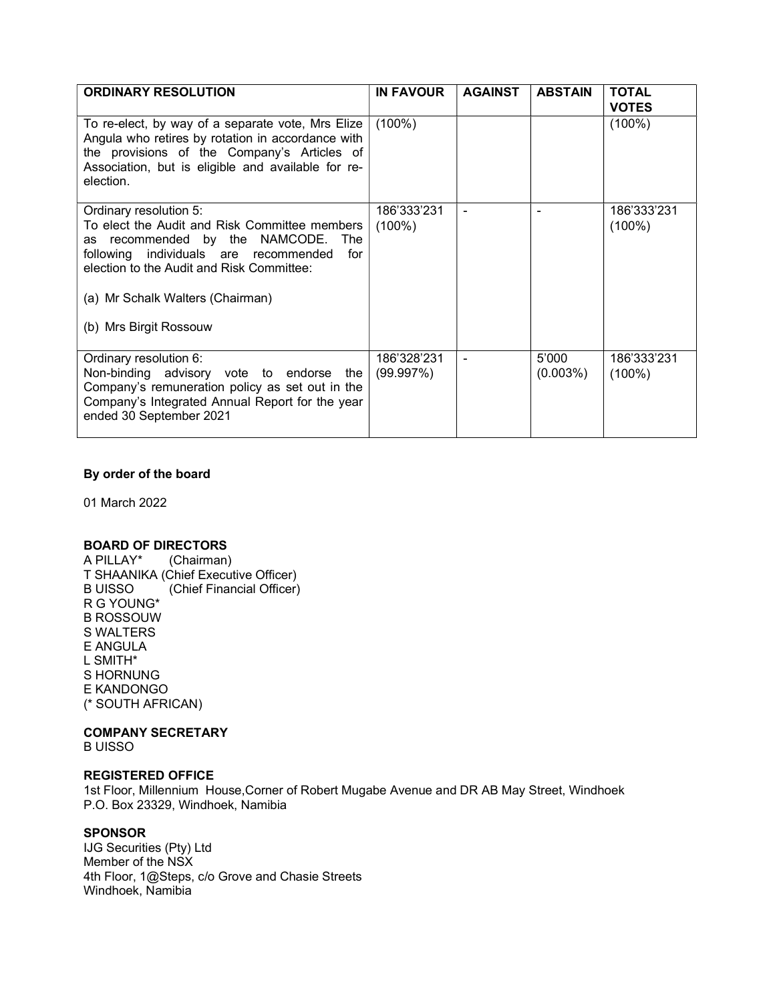| <b>ORDINARY RESOLUTION</b>                                                                                                                                                                                               | <b>IN FAVOUR</b>         | <b>AGAINST</b> | <b>ABSTAIN</b>    | <b>TOTAL</b><br><b>VOTES</b> |
|--------------------------------------------------------------------------------------------------------------------------------------------------------------------------------------------------------------------------|--------------------------|----------------|-------------------|------------------------------|
| To re-elect, by way of a separate vote, Mrs Elize<br>Angula who retires by rotation in accordance with<br>the provisions of the Company's Articles of<br>Association, but is eligible and available for re-<br>election. | $(100\%)$                |                |                   | $(100\%)$                    |
| Ordinary resolution 5:<br>To elect the Audit and Risk Committee members<br>as recommended by the NAMCODE. The<br>following individuals are recommended<br>for<br>election to the Audit and Risk Committee:               | 186'333'231<br>$(100\%)$ |                |                   | 186'333'231<br>$(100\%)$     |
| (a) Mr Schalk Walters (Chairman)<br>(b) Mrs Birgit Rossouw                                                                                                                                                               |                          |                |                   |                              |
| Ordinary resolution 6:<br>Non-binding advisory vote to endorse the<br>Company's remuneration policy as set out in the<br>Company's Integrated Annual Report for the year<br>ended 30 September 2021                      | 186'328'231<br>(99.997%) |                | 5'000<br>(0.003%) | 186'333'231<br>$(100\%)$     |

# By order of the board

01 March 2022

### BOARD OF DIRECTORS

A PILLAY\* (Chairman) T SHAANIKA (Chief Executive Officer) B UISSO (Chief Financial Officer) R G YOUNG\* B ROSSOUW S WALTERS E ANGULA L SMITH\* S HORNUNG E KANDONGO (\* SOUTH AFRICAN)

# COMPANY SECRETARY

B UISSO

### REGISTERED OFFICE

1st Floor, Millennium House,Corner of Robert Mugabe Avenue and DR AB May Street, Windhoek P.O. Box 23329, Windhoek, Namibia

## **SPONSOR**

IJG Securities (Pty) Ltd Member of the NSX 4th Floor, 1@Steps, c/o Grove and Chasie Streets Windhoek, Namibia